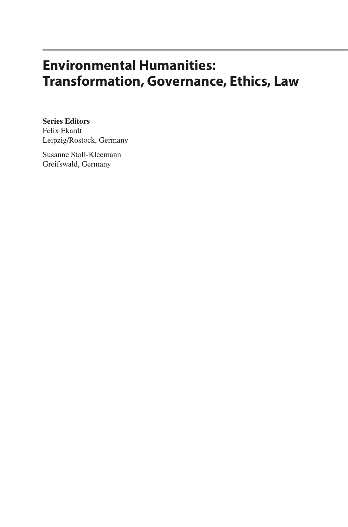## **Environmental Humanities: Transformation, Governance, Ethics, Law**

**Series Editors** Felix Ekardt Leipzig/Rostock, Germany

Susanne Stoll-Kleemann Greifswald, Germany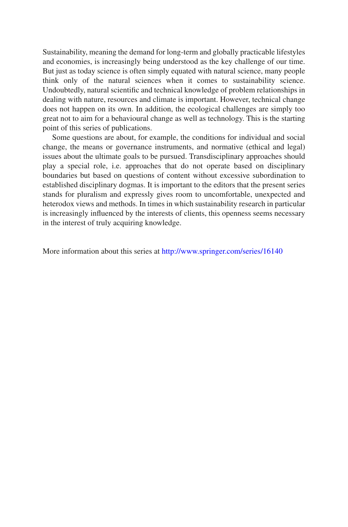Sustainability, meaning the demand for long-term and globally practicable lifestyles and economies, is increasingly being understood as the key challenge of our time. But just as today science is often simply equated with natural science, many people think only of the natural sciences when it comes to sustainability science. Undoubtedly, natural scientific and technical knowledge of problem relationships in dealing with nature, resources and climate is important. However, technical change does not happen on its own. In addition, the ecological challenges are simply too great not to aim for a behavioural change as well as technology. This is the starting point of this series of publications.

Some questions are about, for example, the conditions for individual and social change, the means or governance instruments, and normative (ethical and legal) issues about the ultimate goals to be pursued. Transdisciplinary approaches should play a special role, i.e. approaches that do not operate based on disciplinary boundaries but based on questions of content without excessive subordination to established disciplinary dogmas. It is important to the editors that the present series stands for pluralism and expressly gives room to uncomfortable, unexpected and heterodox views and methods. In times in which sustainability research in particular is increasingly influenced by the interests of clients, this openness seems necessary in the interest of truly acquiring knowledge.

More information about this series at<http://www.springer.com/series/16140>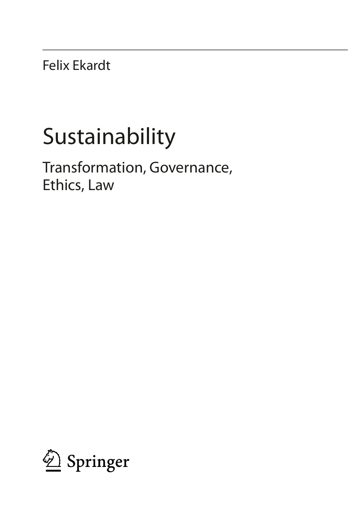Felix Ekardt

# Sustainability

Transformation, Governance, Ethics, Law

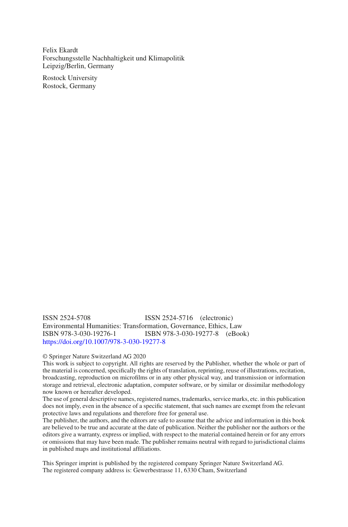Felix Ekardt Forschungsstelle Nachhaltigkeit und Klimapolitik Leipzig/Berlin, Germany

Rostock University Rostock, Germany

ISSN 2524-5708 ISSN 2524-5716 (electronic) Environmental Humanities: Transformation, Governance, Ethics, Law ISBN 978-3-030-19276-1 ISBN 978-3-030-19277-8 (eBook) <https://doi.org/10.1007/978-3-030-19277-8>

#### © Springer Nature Switzerland AG 2020

This work is subject to copyright. All rights are reserved by the Publisher, whether the whole or part of the material is concerned, specifically the rights of translation, reprinting, reuse of illustrations, recitation, broadcasting, reproduction on microfilms or in any other physical way, and transmission or information storage and retrieval, electronic adaptation, computer software, or by similar or dissimilar methodology now known or hereafter developed.

The use of general descriptive names, registered names, trademarks, service marks, etc. in this publication does not imply, even in the absence of a specific statement, that such names are exempt from the relevant protective laws and regulations and therefore free for general use.

The publisher, the authors, and the editors are safe to assume that the advice and information in this book are believed to be true and accurate at the date of publication. Neither the publisher nor the authors or the editors give a warranty, express or implied, with respect to the material contained herein or for any errors or omissions that may have been made. The publisher remains neutral with regard to jurisdictional claims in published maps and institutional affiliations.

This Springer imprint is published by the registered company Springer Nature Switzerland AG. The registered company address is: Gewerbestrasse 11, 6330 Cham, Switzerland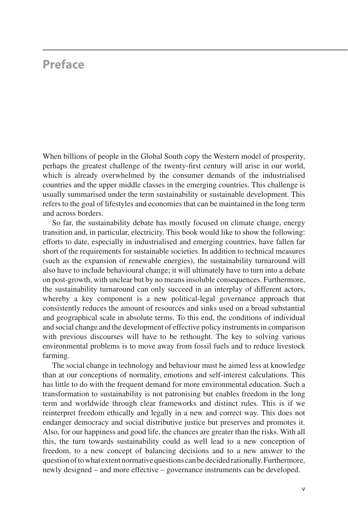### **Preface**

When billions of people in the Global South copy the Western model of prosperity, perhaps the greatest challenge of the twenty-first century will arise in our world, which is already overwhelmed by the consumer demands of the industrialised countries and the upper middle classes in the emerging countries. This challenge is usually summarised under the term sustainability or sustainable development. This refers to the goal of lifestyles and economies that can be maintained in the long term and across borders.

So far, the sustainability debate has mostly focused on climate change, energy transition and, in particular, electricity. This book would like to show the following: efforts to date, especially in industrialised and emerging countries, have fallen far short of the requirements for sustainable societies. In addition to technical measures (such as the expansion of renewable energies), the sustainability turnaround will also have to include behavioural change; it will ultimately have to turn into a debate on post-growth, with unclear but by no means insoluble consequences. Furthermore, the sustainability turnaround can only succeed in an interplay of different actors, whereby a key component is a new political-legal governance approach that consistently reduces the amount of resources and sinks used on a broad substantial and geographical scale in absolute terms. To this end, the conditions of individual and social change and the development of effective policy instruments in comparison with previous discourses will have to be rethought. The key to solving various environmental problems is to move away from fossil fuels and to reduce livestock farming.

The social change in technology and behaviour must be aimed less at knowledge than at our conceptions of normality, emotions and self-interest calculations. This has little to do with the frequent demand for more environmental education. Such a transformation to sustainability is not patronising but enables freedom in the long term and worldwide through clear frameworks and distinct rules. This is if we reinterpret freedom ethically and legally in a new and correct way. This does not endanger democracy and social distributive justice but preserves and promotes it. Also, for our happiness and good life, the chances are greater than the risks. With all this, the turn towards sustainability could as well lead to a new conception of freedom, to a new concept of balancing decisions and to a new answer to the question of to what extent normative questions can be decided rationally. Furthermore, newly designed – and more effective – governance instruments can be developed.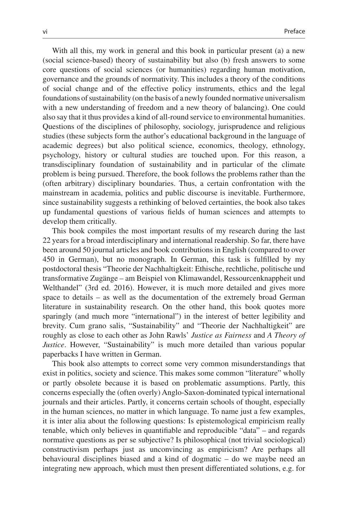With all this, my work in general and this book in particular present (a) a new (social science-based) theory of sustainability but also (b) fresh answers to some core questions of social sciences (or humanities) regarding human motivation, governance and the grounds of normativity. This includes a theory of the conditions of social change and of the effective policy instruments, ethics and the legal foundations of sustainability (on the basis of a newly founded normative universalism with a new understanding of freedom and a new theory of balancing). One could also say that it thus provides a kind of all-round service to environmental humanities. Questions of the disciplines of philosophy, sociology, jurisprudence and religious studies (these subjects form the author's educational background in the language of academic degrees) but also political science, economics, theology, ethnology, psychology, history or cultural studies are touched upon. For this reason, a transdisciplinary foundation of sustainability and in particular of the climate problem is being pursued. Therefore, the book follows the problems rather than the (often arbitrary) disciplinary boundaries. Thus, a certain confrontation with the mainstream in academia, politics and public discourse is inevitable. Furthermore, since sustainability suggests a rethinking of beloved certainties, the book also takes up fundamental questions of various fields of human sciences and attempts to develop them critically.

This book compiles the most important results of my research during the last 22 years for a broad interdisciplinary and international readership. So far, there have been around 50 journal articles and book contributions in English (compared to over 450 in German), but no monograph. In German, this task is fulfilled by my postdoctoral thesis "Theorie der Nachhaltigkeit: Ethische, rechtliche, politische und transformative Zugänge – am Beispiel von Klimawandel, Ressourcenknappheit und Welthandel" (3rd ed. 2016). However, it is much more detailed and gives more space to details – as well as the documentation of the extremely broad German literature in sustainability research. On the other hand, this book quotes more sparingly (and much more "international") in the interest of better legibility and brevity. Cum grano salis, "Sustainability" and "Theorie der Nachhaltigkeit" are roughly as close to each other as John Rawls' *Justice as Fairness* and *A Theory of Justice*. However, "Sustainability" is much more detailed than various popular paperbacks I have written in German.

This book also attempts to correct some very common misunderstandings that exist in politics, society and science. This makes some common "literature" wholly or partly obsolete because it is based on problematic assumptions. Partly, this concerns especially the (often overly) Anglo-Saxon-dominated typical international journals and their articles. Partly, it concerns certain schools of thought, especially in the human sciences, no matter in which language. To name just a few examples, it is inter alia about the following questions: Is epistemological empiricism really tenable, which only believes in quantifiable and reproducible "data" – and regards normative questions as per se subjective? Is philosophical (not trivial sociological) constructivism perhaps just as unconvincing as empiricism? Are perhaps all behavioural disciplines biased and a kind of dogmatic – do we maybe need an integrating new approach, which must then present differentiated solutions, e.g. for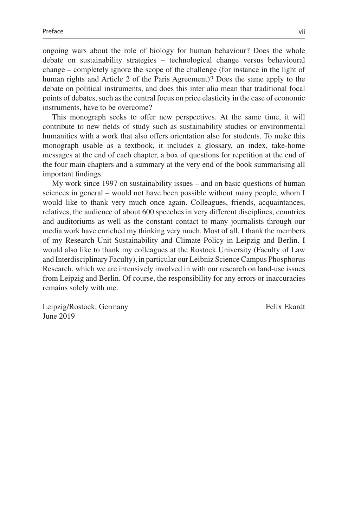ongoing wars about the role of biology for human behaviour? Does the whole debate on sustainability strategies – technological change versus behavioural change – completely ignore the scope of the challenge (for instance in the light of human rights and Article 2 of the Paris Agreement)? Does the same apply to the debate on political instruments, and does this inter alia mean that traditional focal points of debates, such as the central focus on price elasticity in the case of economic instruments, have to be overcome?

This monograph seeks to offer new perspectives. At the same time, it will contribute to new fields of study such as sustainability studies or environmental humanities with a work that also offers orientation also for students. To make this monograph usable as a textbook, it includes a glossary, an index, take-home messages at the end of each chapter, a box of questions for repetition at the end of the four main chapters and a summary at the very end of the book summarising all important findings.

My work since 1997 on sustainability issues – and on basic questions of human sciences in general – would not have been possible without many people, whom I would like to thank very much once again. Colleagues, friends, acquaintances, relatives, the audience of about 600 speeches in very different disciplines, countries and auditoriums as well as the constant contact to many journalists through our media work have enriched my thinking very much. Most of all, I thank the members of my Research Unit Sustainability and Climate Policy in Leipzig and Berlin. I would also like to thank my colleagues at the Rostock University (Faculty of Law and Interdisciplinary Faculty), in particular our Leibniz Science Campus Phosphorus Research, which we are intensively involved in with our research on land-use issues from Leipzig and Berlin. Of course, the responsibility for any errors or inaccuracies remains solely with me.

Leipzig/Rostock, Germany Felix Ekardt June 2019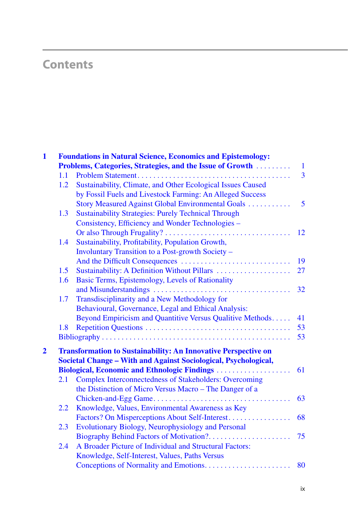## **Contents**

| 1              | <b>Foundations in Natural Science, Economics and Epistemology:</b> |                                                                       |                         |  |
|----------------|--------------------------------------------------------------------|-----------------------------------------------------------------------|-------------------------|--|
|                |                                                                    | Problems, Categories, Strategies, and the Issue of Growth             | $\mathbf{1}$            |  |
|                | 1.1                                                                |                                                                       | $\overline{\mathbf{3}}$ |  |
|                | 1.2                                                                | Sustainability, Climate, and Other Ecological Issues Caused           |                         |  |
|                |                                                                    | by Fossil Fuels and Livestock Farming: An Alleged Success             |                         |  |
|                |                                                                    | Story Measured Against Global Environmental Goals                     | 5                       |  |
|                | 1.3                                                                | <b>Sustainability Strategies: Purely Technical Through</b>            |                         |  |
|                |                                                                    | Consistency, Efficiency and Wonder Technologies -                     |                         |  |
|                |                                                                    |                                                                       | 12                      |  |
|                | 1.4                                                                | Sustainability, Profitability, Population Growth,                     |                         |  |
|                |                                                                    | Involuntary Transition to a Post-growth Society -                     |                         |  |
|                |                                                                    |                                                                       | 19                      |  |
|                | 1.5                                                                | Sustainability: A Definition Without Pillars                          | 27                      |  |
|                | 1.6                                                                | Basic Terms, Epistemology, Levels of Rationality                      |                         |  |
|                |                                                                    |                                                                       | 32                      |  |
|                | 1.7                                                                | Transdisciplinarity and a New Methodology for                         |                         |  |
|                |                                                                    | Behavioural, Governance, Legal and Ethical Analysis:                  |                         |  |
|                |                                                                    | Beyond Empiricism and Quantitive Versus Qualitive Methods             | 41                      |  |
|                | 1.8                                                                |                                                                       | 53                      |  |
|                |                                                                    |                                                                       | 53                      |  |
|                |                                                                    |                                                                       |                         |  |
| $\overline{2}$ |                                                                    | <b>Transformation to Sustainability: An Innovative Perspective on</b> |                         |  |
|                |                                                                    | Societal Change - With and Against Sociological, Psychological,       |                         |  |
|                |                                                                    | <b>Biological, Economic and Ethnologic Findings </b>                  | 61                      |  |
|                | 2.1                                                                | Complex Interconnectedness of Stakeholders: Overcoming                |                         |  |
|                |                                                                    | the Distinction of Micro Versus Macro - The Danger of a               |                         |  |
|                |                                                                    |                                                                       | 63                      |  |
|                | $2.2\,$                                                            | Knowledge, Values, Environmental Awareness as Key                     |                         |  |
|                |                                                                    | Factors? On Misperceptions About Self-Interest.                       | 68                      |  |
|                | 2.3                                                                | Evolutionary Biology, Neurophysiology and Personal                    |                         |  |
|                |                                                                    |                                                                       | 75                      |  |
|                | 2.4                                                                | A Broader Picture of Individual and Structural Factors:               |                         |  |
|                |                                                                    | Knowledge, Self-Interest, Values, Paths Versus                        |                         |  |
|                |                                                                    |                                                                       | 80                      |  |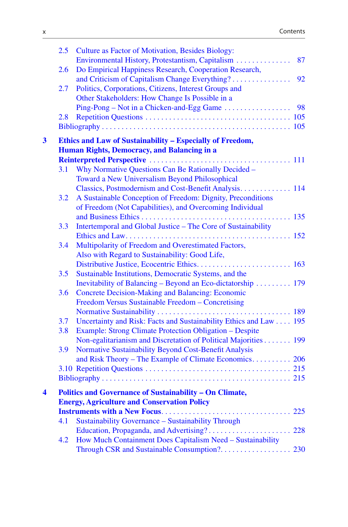|                         | 2.5                                                       | <b>Culture as Factor of Motivation, Besides Biology:</b>                     |  |  |  |
|-------------------------|-----------------------------------------------------------|------------------------------------------------------------------------------|--|--|--|
|                         |                                                           | Environmental History, Protestantism, Capitalism<br>87                       |  |  |  |
|                         | 2.6                                                       | Do Empirical Happiness Research, Cooperation Research,                       |  |  |  |
|                         |                                                           | and Criticism of Capitalism Change Everything?<br>92                         |  |  |  |
|                         | 2.7                                                       | Politics, Corporations, Citizens, Interest Groups and                        |  |  |  |
|                         |                                                           | Other Stakeholders: How Change Is Possible in a                              |  |  |  |
|                         |                                                           | Ping-Pong – Not in a Chicken-and-Egg Game $\dots \dots \dots \dots \dots$ 98 |  |  |  |
|                         | 2.8                                                       |                                                                              |  |  |  |
|                         |                                                           |                                                                              |  |  |  |
| 3                       | Ethics and Law of Sustainability - Especially of Freedom, |                                                                              |  |  |  |
|                         |                                                           | Human Rights, Democracy, and Balancing in a                                  |  |  |  |
|                         |                                                           |                                                                              |  |  |  |
|                         | 3.1                                                       | Why Normative Questions Can Be Rationally Decided -                          |  |  |  |
|                         |                                                           | Toward a New Universalism Beyond Philosophical                               |  |  |  |
|                         |                                                           | Classics, Postmodernism and Cost-Benefit Analysis. 114                       |  |  |  |
|                         | 3.2                                                       | A Sustainable Conception of Freedom: Dignity, Preconditions                  |  |  |  |
|                         |                                                           | of Freedom (Not Capabilities), and Overcoming Individual                     |  |  |  |
|                         |                                                           |                                                                              |  |  |  |
|                         | 3.3                                                       | Intertemporal and Global Justice – The Core of Sustainability                |  |  |  |
|                         |                                                           |                                                                              |  |  |  |
|                         | 3.4                                                       | Multipolarity of Freedom and Overestimated Factors,                          |  |  |  |
|                         |                                                           | Also with Regard to Sustainability: Good Life,                               |  |  |  |
|                         |                                                           |                                                                              |  |  |  |
|                         | 3.5                                                       | Sustainable Institutions, Democratic Systems, and the                        |  |  |  |
|                         |                                                           | Inevitability of Balancing - Beyond an Eco-dictatorship  179                 |  |  |  |
|                         | 3.6                                                       | <b>Concrete Decision-Making and Balancing: Economic</b>                      |  |  |  |
|                         |                                                           | Freedom Versus Sustainable Freedom – Concretising                            |  |  |  |
|                         |                                                           |                                                                              |  |  |  |
|                         | 3.7                                                       | Uncertainty and Risk: Facts and Sustainability Ethics and Law 195            |  |  |  |
|                         | 3.8                                                       | <b>Example: Strong Climate Protection Obligation - Despite</b>               |  |  |  |
|                         |                                                           | Non-egalitarianism and Discretation of Political Majorities 199              |  |  |  |
|                         | 3.9                                                       | Normative Sustainability Beyond Cost-Benefit Analysis                        |  |  |  |
|                         |                                                           | and Risk Theory – The Example of Climate Economics 206                       |  |  |  |
|                         |                                                           |                                                                              |  |  |  |
|                         |                                                           |                                                                              |  |  |  |
| $\overline{\mathbf{4}}$ |                                                           | <b>Politics and Governance of Sustainability - On Climate,</b>               |  |  |  |
|                         |                                                           | <b>Energy, Agriculture and Conservation Policy</b>                           |  |  |  |
|                         |                                                           |                                                                              |  |  |  |
|                         | 4.1                                                       | Sustainability Governance - Sustainability Through                           |  |  |  |
|                         |                                                           |                                                                              |  |  |  |
|                         | 4.2                                                       | How Much Containment Does Capitalism Need - Sustainability                   |  |  |  |
|                         |                                                           |                                                                              |  |  |  |